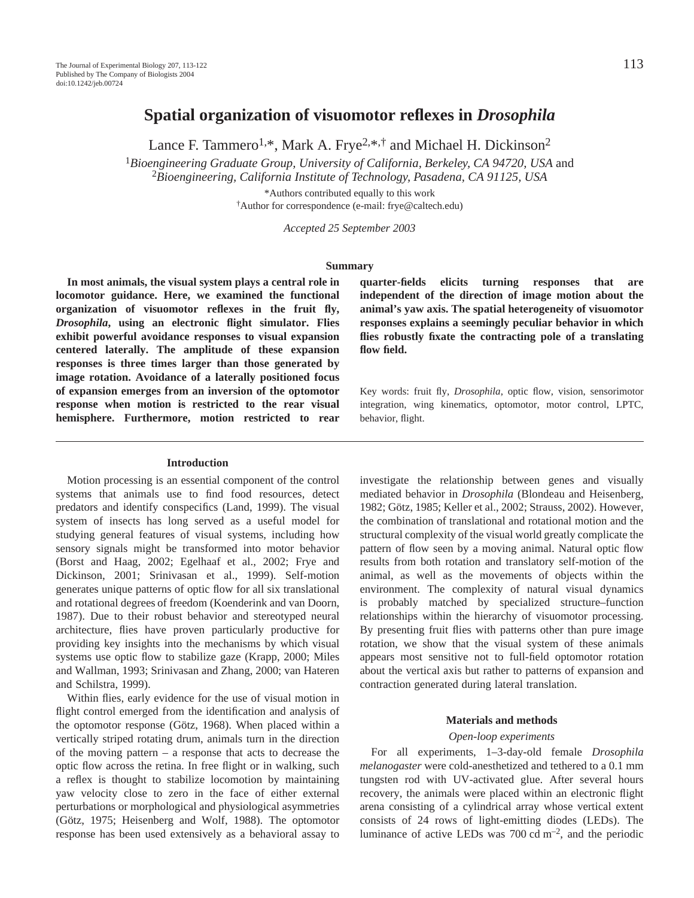# **Spatial organization of visuomotor reflexes in** *Drosophila*

Lance F. Tammero<sup>1,\*</sup>, Mark A. Frye<sup>2,\*,†</sup> and Michael H. Dickinson<sup>2</sup>

<sup>1</sup>*Bioengineering Graduate Group, University of California, Berkeley, CA 94720, USA* and <sup>2</sup>*Bioengineering, California Institute of Technology, Pasadena, CA 91125, USA* \*Authors contributed equally to this work

†Author for correspondence (e-mail: frye@caltech.edu)

*Accepted 25 September 2003*

#### **Summary**

**In most animals, the visual system plays a central role in locomotor guidance. Here, we examined the functional organization of visuomotor reflexes in the fruit fly,** *Drosophila***, using an electronic flight simulator. Flies exhibit powerful avoidance responses to visual expansion centered laterally. The amplitude of these expansion responses is three times larger than those generated by image rotation. Avoidance of a laterally positioned focus of expansion emerges from an inversion of the optomotor response when motion is restricted to the rear visual hemisphere. Furthermore, motion restricted to rear**

**Introduction**

Motion processing is an essential component of the control systems that animals use to find food resources, detect predators and identify conspecifics (Land, 1999). The visual system of insects has long served as a useful model for studying general features of visual systems, including how sensory signals might be transformed into motor behavior (Borst and Haag, 2002; Egelhaaf et al., 2002; Frye and Dickinson, 2001; Srinivasan et al., 1999). Self-motion generates unique patterns of optic flow for all six translational and rotational degrees of freedom (Koenderink and van Doorn, 1987). Due to their robust behavior and stereotyped neural architecture, flies have proven particularly productive for providing key insights into the mechanisms by which visual systems use optic flow to stabilize gaze (Krapp, 2000; Miles and Wallman, 1993; Srinivasan and Zhang, 2000; van Hateren and Schilstra, 1999).

Within flies, early evidence for the use of visual motion in flight control emerged from the identification and analysis of the optomotor response (Götz, 1968). When placed within a vertically striped rotating drum, animals turn in the direction of the moving pattern – a response that acts to decrease the optic flow across the retina. In free flight or in walking, such a reflex is thought to stabilize locomotion by maintaining yaw velocity close to zero in the face of either external perturbations or morphological and physiological asymmetries (Götz, 1975; Heisenberg and Wolf, 1988). The optomotor response has been used extensively as a behavioral assay to **quarter-fields elicits turning responses that are independent of the direction of image motion about the animal's yaw axis. The spatial heterogeneity of visuomotor responses explains a seemingly peculiar behavior in which flies robustly fixate the contracting pole of a translating flow field.**

Key words: fruit fly, *Drosophila*, optic flow, vision, sensorimotor integration, wing kinematics, optomotor, motor control, LPTC, behavior, flight.

investigate the relationship between genes and visually mediated behavior in *Drosophila* (Blondeau and Heisenberg, 1982; Götz, 1985; Keller et al., 2002; Strauss, 2002). However, the combination of translational and rotational motion and the structural complexity of the visual world greatly complicate the pattern of flow seen by a moving animal. Natural optic flow results from both rotation and translatory self-motion of the animal, as well as the movements of objects within the environment. The complexity of natural visual dynamics is probably matched by specialized structure–function relationships within the hierarchy of visuomotor processing. By presenting fruit flies with patterns other than pure image rotation, we show that the visual system of these animals appears most sensitive not to full-field optomotor rotation about the vertical axis but rather to patterns of expansion and contraction generated during lateral translation.

#### **Materials and methods**

## *Open-loop experiments*

For all experiments, 1–3-day-old female *Drosophila melanogaster* were cold-anesthetized and tethered to a 0.1 mm tungsten rod with UV-activated glue. After several hours recovery, the animals were placed within an electronic flight arena consisting of a cylindrical array whose vertical extent consists of 24 rows of light-emitting diodes (LEDs). The luminance of active LEDs was 700 cd  $m<sup>-2</sup>$ , and the periodic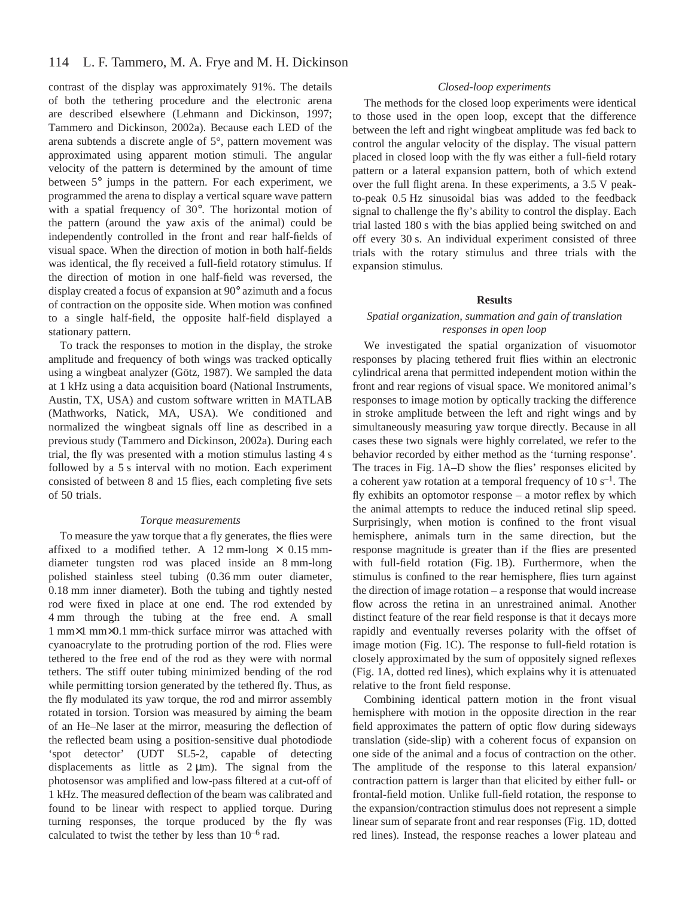#### 114 L. F. Tammero, M. A. Frye and M. H. Dickinson

contrast of the display was approximately 91%. The details of both the tethering procedure and the electronic arena are described elsewhere (Lehmann and Dickinson, 1997; Tammero and Dickinson, 2002a). Because each LED of the arena subtends a discrete angle of 5°, pattern movement was approximated using apparent motion stimuli. The angular velocity of the pattern is determined by the amount of time between 5° jumps in the pattern. For each experiment, we programmed the arena to display a vertical square wave pattern with a spatial frequency of 30°. The horizontal motion of the pattern (around the yaw axis of the animal) could be independently controlled in the front and rear half-fields of visual space. When the direction of motion in both half-fields was identical, the fly received a full-field rotatory stimulus. If the direction of motion in one half-field was reversed, the display created a focus of expansion at 90° azimuth and a focus of contraction on the opposite side. When motion was confined to a single half-field, the opposite half-field displayed a stationary pattern.

To track the responses to motion in the display, the stroke amplitude and frequency of both wings was tracked optically using a wingbeat analyzer (Götz, 1987). We sampled the data at 1 kHz using a data acquisition board (National Instruments, Austin, TX, USA) and custom software written in MATLAB (Mathworks, Natick, MA, USA). We conditioned and normalized the wingbeat signals off line as described in a previous study (Tammero and Dickinson, 2002a). During each trial, the fly was presented with a motion stimulus lasting 4 s followed by a 5 s interval with no motion. Each experiment consisted of between 8 and 15 flies, each completing five sets of 50 trials.

## *Torque measurements*

To measure the yaw torque that a fly generates, the flies were affixed to a modified tether. A 12 mm-long  $\times$  0.15 mmdiameter tungsten rod was placed inside an 8 mm-long polished stainless steel tubing (0.36 mm outer diameter, 0.18 mm inner diameter). Both the tubing and tightly nested rod were fixed in place at one end. The rod extended by 4 mm through the tubing at the free end. A small 1 mm×1 mm×0.1 mm-thick surface mirror was attached with cyanoacrylate to the protruding portion of the rod. Flies were tethered to the free end of the rod as they were with normal tethers. The stiff outer tubing minimized bending of the rod while permitting torsion generated by the tethered fly. Thus, as the fly modulated its yaw torque, the rod and mirror assembly rotated in torsion. Torsion was measured by aiming the beam of an He–Ne laser at the mirror, measuring the deflection of the reflected beam using a position-sensitive dual photodiode 'spot detector' (UDT SL5-2, capable of detecting displacements as little as  $2 \mu m$ ). The signal from the photosensor was amplified and low-pass filtered at a cut-off of 1·kHz. The measured deflection of the beam was calibrated and found to be linear with respect to applied torque. During turning responses, the torque produced by the fly was calculated to twist the tether by less than  $10^{-6}$  rad.

## *Closed-loop experiments*

The methods for the closed loop experiments were identical to those used in the open loop, except that the difference between the left and right wingbeat amplitude was fed back to control the angular velocity of the display. The visual pattern placed in closed loop with the fly was either a full-field rotary pattern or a lateral expansion pattern, both of which extend over the full flight arena. In these experiments, a 3.5 V peakto-peak  $0.5$  Hz sinusoidal bias was added to the feedback signal to challenge the fly's ability to control the display. Each trial lasted 180 s with the bias applied being switched on and off every 30 s. An individual experiment consisted of three trials with the rotary stimulus and three trials with the expansion stimulus.

### **Results**

## *Spatial organization, summation and gain of translation responses in open loop*

We investigated the spatial organization of visuomotor responses by placing tethered fruit flies within an electronic cylindrical arena that permitted independent motion within the front and rear regions of visual space. We monitored animal's responses to image motion by optically tracking the difference in stroke amplitude between the left and right wings and by simultaneously measuring yaw torque directly. Because in all cases these two signals were highly correlated, we refer to the behavior recorded by either method as the 'turning response'. The traces in Fig. 1A–D show the flies' responses elicited by a coherent yaw rotation at a temporal frequency of  $10~\mathrm{s}^{-1}$ . The fly exhibits an optomotor response – a motor reflex by which the animal attempts to reduce the induced retinal slip speed. Surprisingly, when motion is confined to the front visual hemisphere, animals turn in the same direction, but the response magnitude is greater than if the flies are presented with full-field rotation (Fig. 1B). Furthermore, when the stimulus is confined to the rear hemisphere, flies turn against the direction of image rotation – a response that would increase flow across the retina in an unrestrained animal. Another distinct feature of the rear field response is that it decays more rapidly and eventually reverses polarity with the offset of image motion (Fig. 1C). The response to full-field rotation is closely approximated by the sum of oppositely signed reflexes (Fig. 1A, dotted red lines), which explains why it is attenuated relative to the front field response.

Combining identical pattern motion in the front visual hemisphere with motion in the opposite direction in the rear field approximates the pattern of optic flow during sideways translation (side-slip) with a coherent focus of expansion on one side of the animal and a focus of contraction on the other. The amplitude of the response to this lateral expansion/ contraction pattern is larger than that elicited by either full- or frontal-field motion. Unlike full-field rotation, the response to the expansion/contraction stimulus does not represent a simple linear sum of separate front and rear responses (Fig. 1D, dotted red lines). Instead, the response reaches a lower plateau and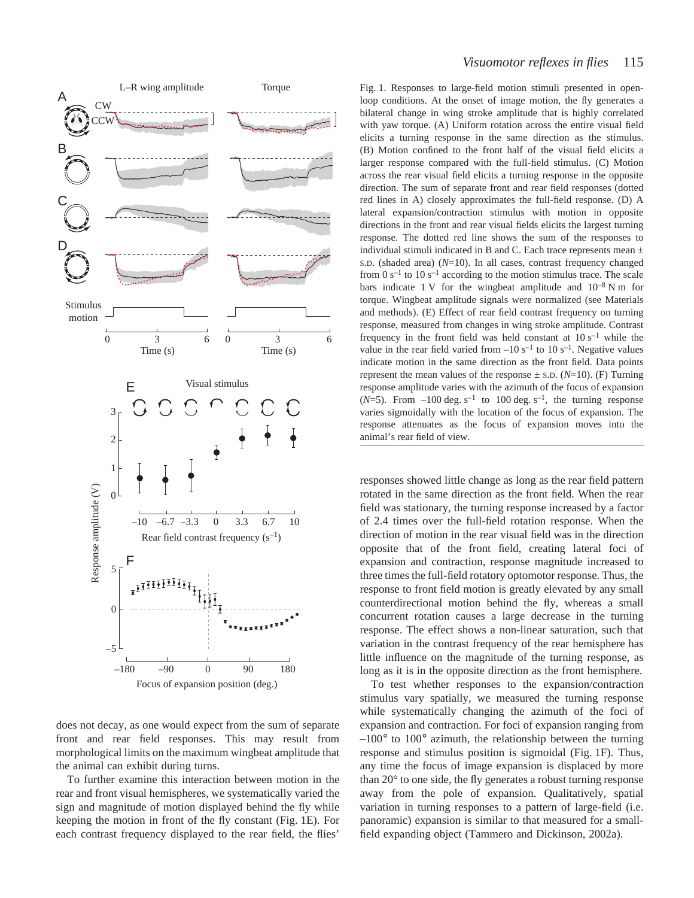

does not decay, as one would expect from the sum of separate front and rear field responses. This may result from morphological limits on the maximum wingbeat amplitude that the animal can exhibit during turns.

To further examine this interaction between motion in the rear and front visual hemispheres, we systematically varied the sign and magnitude of motion displayed behind the fly while keeping the motion in front of the fly constant (Fig.  $1E$ ). For each contrast frequency displayed to the rear field, the flies'

Fig. 1. Responses to large-field motion stimuli presented in openloop conditions. At the onset of image motion, the fly generates a bilateral change in wing stroke amplitude that is highly correlated with yaw torque. (A) Uniform rotation across the entire visual field elicits a turning response in the same direction as the stimulus. (B) Motion confined to the front half of the visual field elicits a larger response compared with the full-field stimulus. (C) Motion across the rear visual field elicits a turning response in the opposite direction. The sum of separate front and rear field responses (dotted red lines in A) closely approximates the full-field response. (D) A lateral expansion/contraction stimulus with motion in opposite directions in the front and rear visual fields elicits the largest turning response. The dotted red line shows the sum of the responses to individual stimuli indicated in B and C. Each trace represents mean  $\pm$ S.D. (shaded area) (*N*=10). In all cases, contrast frequency changed from 0  $s^{-1}$  to 10  $s^{-1}$  according to the motion stimulus trace. The scale bars indicate 1 V for the wingbeat amplitude and  $10^{-8}$  N m for torque. Wingbeat amplitude signals were normalized (see Materials and methods). (E) Effect of rear field contrast frequency on turning response, measured from changes in wing stroke amplitude. Contrast frequency in the front field was held constant at  $10s^{-1}$  while the value in the rear field varied from  $-10s^{-1}$  to  $10s^{-1}$ . Negative values indicate motion in the same direction as the front field. Data points represent the mean values of the response  $\pm$  s.D. (*N*=10). (F) Turning response amplitude varies with the azimuth of the focus of expansion  $(N=5)$ . From  $-100$  deg. s<sup>-1</sup> to 100 deg. s<sup>-1</sup>, the turning response varies sigmoidally with the location of the focus of expansion. The response attenuates as the focus of expansion moves into the animal's rear field of view.

responses showed little change as long as the rear field pattern rotated in the same direction as the front field. When the rear field was stationary, the turning response increased by a factor of 2.4 times over the full-field rotation response. When the direction of motion in the rear visual field was in the direction opposite that of the front field, creating lateral foci of expansion and contraction, response magnitude increased to three times the full-field rotatory optomotor response. Thus, the response to front field motion is greatly elevated by any small counterdirectional motion behind the fly, whereas a small concurrent rotation causes a large decrease in the turning response. The effect shows a non-linear saturation, such that variation in the contrast frequency of the rear hemisphere has little influence on the magnitude of the turning response, as long as it is in the opposite direction as the front hemisphere.

To test whether responses to the expansion/contraction stimulus vary spatially, we measured the turning response while systematically changing the azimuth of the foci of expansion and contraction. For foci of expansion ranging from  $-100^{\circ}$  to 100° azimuth, the relationship between the turning response and stimulus position is sigmoidal (Fig. 1F). Thus, any time the focus of image expansion is displaced by more than 20° to one side, the fly generates a robust turning response away from the pole of expansion. Qualitatively, spatial variation in turning responses to a pattern of large-field (i.e. panoramic) expansion is similar to that measured for a smallfield expanding object (Tammero and Dickinson, 2002a).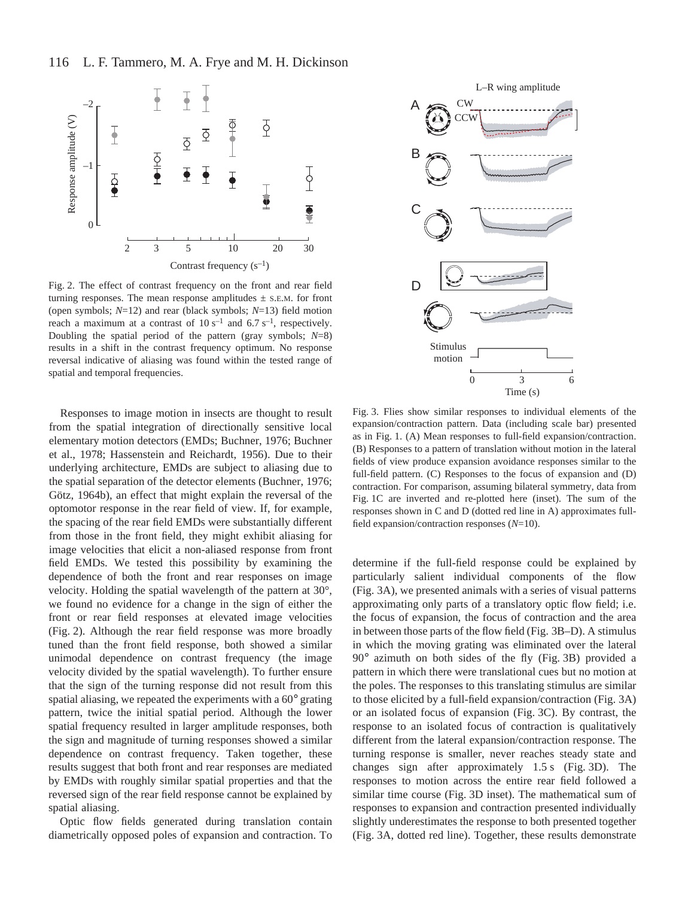116 L. F. Tammero, M. A. Frye and M. H. Dickinson



Fig. 2. The effect of contrast frequency on the front and rear field turning responses. The mean response amplitudes  $\pm$  s.E.M. for front (open symbols; *N*=12) and rear (black symbols; *N*=13) field motion reach a maximum at a contrast of  $10 s^{-1}$  and  $6.7 s^{-1}$ , respectively. Doubling the spatial period of the pattern (gray symbols; *N*=8) results in a shift in the contrast frequency optimum. No response reversal indicative of aliasing was found within the tested range of spatial and temporal frequencies.

Responses to image motion in insects are thought to result from the spatial integration of directionally sensitive local elementary motion detectors (EMDs; Buchner, 1976; Buchner et al., 1978; Hassenstein and Reichardt, 1956). Due to their underlying architecture, EMDs are subject to aliasing due to the spatial separation of the detector elements (Buchner, 1976; Götz, 1964b), an effect that might explain the reversal of the optomotor response in the rear field of view. If, for example, the spacing of the rear field EMDs were substantially different from those in the front field, they might exhibit aliasing for image velocities that elicit a non-aliased response from front field EMDs. We tested this possibility by examining the dependence of both the front and rear responses on image velocity. Holding the spatial wavelength of the pattern at 30°, we found no evidence for a change in the sign of either the front or rear field responses at elevated image velocities (Fig. 2). Although the rear field response was more broadly tuned than the front field response, both showed a similar unimodal dependence on contrast frequency (the image velocity divided by the spatial wavelength). To further ensure that the sign of the turning response did not result from this spatial aliasing, we repeated the experiments with a 60° grating pattern, twice the initial spatial period. Although the lower spatial frequency resulted in larger amplitude responses, both the sign and magnitude of turning responses showed a similar dependence on contrast frequency. Taken together, these results suggest that both front and rear responses are mediated by EMDs with roughly similar spatial properties and that the reversed sign of the rear field response cannot be explained by spatial aliasing.

Optic flow fields generated during translation contain diametrically opposed poles of expansion and contraction. To



Fig. 3. Flies show similar responses to individual elements of the expansion/contraction pattern. Data (including scale bar) presented as in Fig. 1. (A) Mean responses to full-field expansion/contraction. (B) Responses to a pattern of translation without motion in the lateral fields of view produce expansion avoidance responses similar to the full-field pattern. (C) Responses to the focus of expansion and (D) contraction. For comparison, assuming bilateral symmetry, data from Fig. 1C are inverted and re-plotted here (inset). The sum of the responses shown in C and D (dotted red line in A) approximates fullfield expansion/contraction responses (*N*=10).

determine if the full-field response could be explained by particularly salient individual components of the flow (Fig. 3A), we presented animals with a series of visual patterns approximating only parts of a translatory optic flow field; i.e. the focus of expansion, the focus of contraction and the area in between those parts of the flow field (Fig. 3B–D). A stimulus in which the moving grating was eliminated over the lateral  $90^\circ$  azimuth on both sides of the fly (Fig. 3B) provided a pattern in which there were translational cues but no motion at the poles. The responses to this translating stimulus are similar to those elicited by a full-field expansion/contraction (Fig. 3A) or an isolated focus of expansion (Fig. 3C). By contrast, the response to an isolated focus of contraction is qualitatively different from the lateral expansion/contraction response. The turning response is smaller, never reaches steady state and changes sign after approximately  $1.5 s$  (Fig. 3D). The responses to motion across the entire rear field followed a similar time course (Fig. 3D inset). The mathematical sum of responses to expansion and contraction presented individually slightly underestimates the response to both presented together (Fig. 3A, dotted red line). Together, these results demonstrate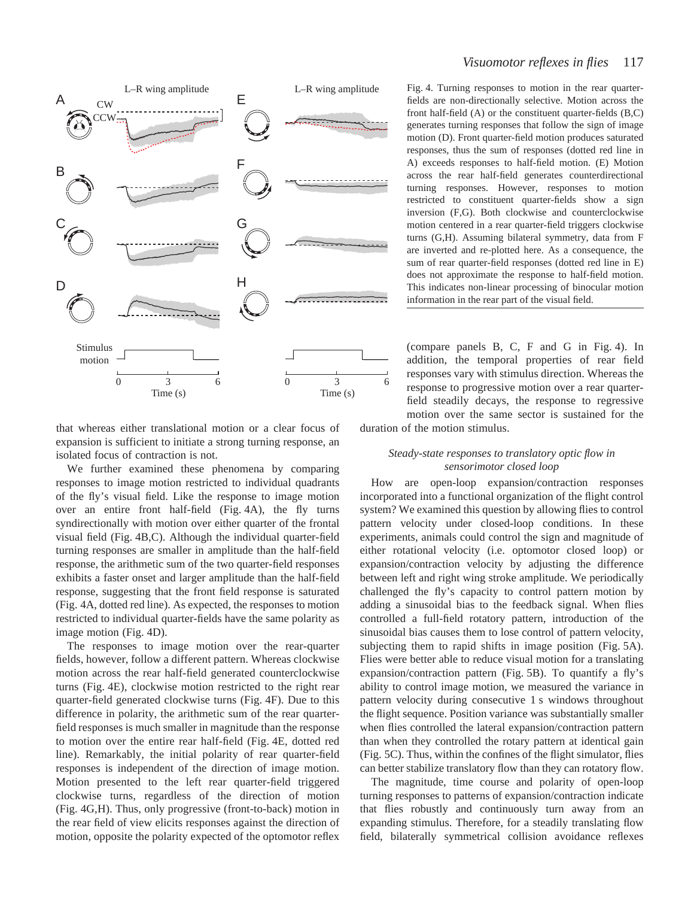

that whereas either translational motion or a clear focus of expansion is sufficient to initiate a strong turning response, an isolated focus of contraction is not.

We further examined these phenomena by comparing responses to image motion restricted to individual quadrants of the fly's visual field. Like the response to image motion over an entire front half-field (Fig. 4A), the fly turns syndirectionally with motion over either quarter of the frontal visual field (Fig. 4B,C). Although the individual quarter-field turning responses are smaller in amplitude than the half-field response, the arithmetic sum of the two quarter-field responses exhibits a faster onset and larger amplitude than the half-field response, suggesting that the front field response is saturated (Fig. 4A, dotted red line). As expected, the responses to motion restricted to individual quarter-fields have the same polarity as image motion (Fig. 4D).

The responses to image motion over the rear-quarter fields, however, follow a different pattern. Whereas clockwise motion across the rear half-field generated counterclockwise turns (Fig. 4E), clockwise motion restricted to the right rear quarter-field generated clockwise turns (Fig. 4F). Due to this difference in polarity, the arithmetic sum of the rear quarterfield responses is much smaller in magnitude than the response to motion over the entire rear half-field (Fig. 4E, dotted red line). Remarkably, the initial polarity of rear quarter-field responses is independent of the direction of image motion. Motion presented to the left rear quarter-field triggered clockwise turns, regardless of the direction of motion (Fig. 4G,H). Thus, only progressive (front-to-back) motion in the rear field of view elicits responses against the direction of motion, opposite the polarity expected of the optomotor reflex

## *Visuomotor reflexes in flies* 117

Fig. 4. Turning responses to motion in the rear quarterfields are non-directionally selective. Motion across the front half-field (A) or the constituent quarter-fields (B,C) generates turning responses that follow the sign of image motion (D). Front quarter-field motion produces saturated responses, thus the sum of responses (dotted red line in A) exceeds responses to half-field motion. (E) Motion across the rear half-field generates counterdirectional turning responses. However, responses to motion restricted to constituent quarter-fields show a sign inversion (F,G). Both clockwise and counterclockwise motion centered in a rear quarter-field triggers clockwise turns (G,H). Assuming bilateral symmetry, data from F are inverted and re-plotted here. As a consequence, the sum of rear quarter-field responses (dotted red line in E) does not approximate the response to half-field motion. This indicates non-linear processing of binocular motion information in the rear part of the visual field.

(compare panels  $B$ ,  $C$ ,  $F$  and  $G$  in Fig. 4). In addition, the temporal properties of rear field responses vary with stimulus direction. Whereas the response to progressive motion over a rear quarterfield steadily decays, the response to regressive motion over the same sector is sustained for the duration of the motion stimulus.

## *Steady-state responses to translatory optic flow in sensorimotor closed loop*

How are open-loop expansion/contraction responses incorporated into a functional organization of the flight control system? We examined this question by allowing flies to control pattern velocity under closed-loop conditions. In these experiments, animals could control the sign and magnitude of either rotational velocity (i.e. optomotor closed loop) or expansion/contraction velocity by adjusting the difference between left and right wing stroke amplitude. We periodically challenged the fly's capacity to control pattern motion by adding a sinusoidal bias to the feedback signal. When flies controlled a full-field rotatory pattern, introduction of the sinusoidal bias causes them to lose control of pattern velocity, subjecting them to rapid shifts in image position (Fig. 5A). Flies were better able to reduce visual motion for a translating expansion/contraction pattern (Fig. 5B). To quantify a fly's ability to control image motion, we measured the variance in pattern velocity during consecutive 1 s windows throughout the flight sequence. Position variance was substantially smaller when flies controlled the lateral expansion/contraction pattern than when they controlled the rotary pattern at identical gain (Fig. 5C). Thus, within the confines of the flight simulator, flies can better stabilize translatory flow than they can rotatory flow.

The magnitude, time course and polarity of open-loop turning responses to patterns of expansion/contraction indicate that flies robustly and continuously turn away from an expanding stimulus. Therefore, for a steadily translating flow field, bilaterally symmetrical collision avoidance reflexes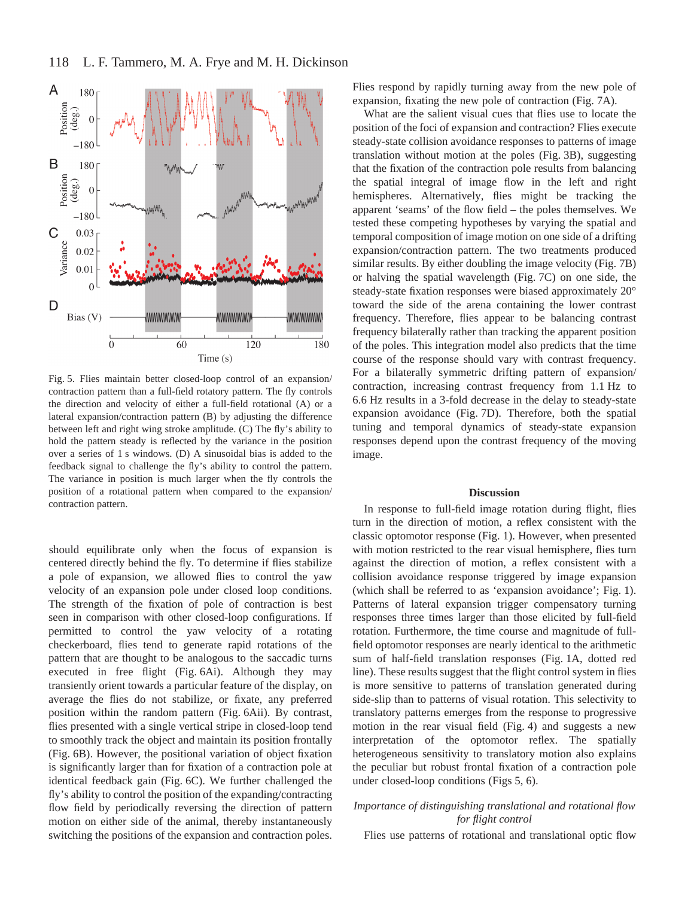

Fig. 5. Flies maintain better closed-loop control of an expansion/ contraction pattern than a full-field rotatory pattern. The fly controls the direction and velocity of either a full-field rotational (A) or a lateral expansion/contraction pattern (B) by adjusting the difference between left and right wing stroke amplitude. (C) The fly's ability to hold the pattern steady is reflected by the variance in the position over a series of  $1 s$  windows. (D) A sinusoidal bias is added to the feedback signal to challenge the fly's ability to control the pattern. The variance in position is much larger when the fly controls the position of a rotational pattern when compared to the expansion/ contraction pattern.

should equilibrate only when the focus of expansion is centered directly behind the fly. To determine if flies stabilize a pole of expansion, we allowed flies to control the yaw velocity of an expansion pole under closed loop conditions. The strength of the fixation of pole of contraction is best seen in comparison with other closed-loop configurations. If permitted to control the yaw velocity of a rotating checkerboard, flies tend to generate rapid rotations of the pattern that are thought to be analogous to the saccadic turns executed in free flight (Fig. 6Ai). Although they may transiently orient towards a particular feature of the display, on average the flies do not stabilize, or fixate, any preferred position within the random pattern (Fig. 6Aii). By contrast, flies presented with a single vertical stripe in closed-loop tend to smoothly track the object and maintain its position frontally (Fig. 6B). However, the positional variation of object fixation is significantly larger than for fixation of a contraction pole at identical feedback gain (Fig. 6C). We further challenged the fly's ability to control the position of the expanding/contracting flow field by periodically reversing the direction of pattern motion on either side of the animal, thereby instantaneously switching the positions of the expansion and contraction poles.

Flies respond by rapidly turning away from the new pole of expansion, fixating the new pole of contraction (Fig. 7A).

What are the salient visual cues that flies use to locate the position of the foci of expansion and contraction? Flies execute steady-state collision avoidance responses to patterns of image translation without motion at the poles (Fig. 3B), suggesting that the fixation of the contraction pole results from balancing the spatial integral of image flow in the left and right hemispheres. Alternatively, flies might be tracking the apparent 'seams' of the flow field – the poles themselves. We tested these competing hypotheses by varying the spatial and temporal composition of image motion on one side of a drifting expansion/contraction pattern. The two treatments produced similar results. By either doubling the image velocity (Fig. 7B) or halving the spatial wavelength (Fig.  $7C$ ) on one side, the steady-state fixation responses were biased approximately 20° toward the side of the arena containing the lower contrast frequency. Therefore, flies appear to be balancing contrast frequency bilaterally rather than tracking the apparent position of the poles. This integration model also predicts that the time course of the response should vary with contrast frequency. For a bilaterally symmetric drifting pattern of expansion/ contraction, increasing contrast frequency from 1.1 Hz to 6.6·Hz results in a 3-fold decrease in the delay to steady-state expansion avoidance (Fig. 7D). Therefore, both the spatial tuning and temporal dynamics of steady-state expansion responses depend upon the contrast frequency of the moving image.

#### **Discussion**

In response to full-field image rotation during flight, flies turn in the direction of motion, a reflex consistent with the classic optomotor response (Fig. 1). However, when presented with motion restricted to the rear visual hemisphere, flies turn against the direction of motion, a reflex consistent with a collision avoidance response triggered by image expansion (which shall be referred to as 'expansion avoidance'; Fig. 1). Patterns of lateral expansion trigger compensatory turning responses three times larger than those elicited by full-field rotation. Furthermore, the time course and magnitude of fullfield optomotor responses are nearly identical to the arithmetic sum of half-field translation responses (Fig. 1A, dotted red line). These results suggest that the flight control system in flies is more sensitive to patterns of translation generated during side-slip than to patterns of visual rotation. This selectivity to translatory patterns emerges from the response to progressive motion in the rear visual field (Fig. 4) and suggests a new interpretation of the optomotor reflex. The spatially heterogeneous sensitivity to translatory motion also explains the peculiar but robust frontal fixation of a contraction pole under closed-loop conditions (Figs  $5, 6$ ).

## *Importance of distinguishing translational and rotational flow for flight control*

Flies use patterns of rotational and translational optic flow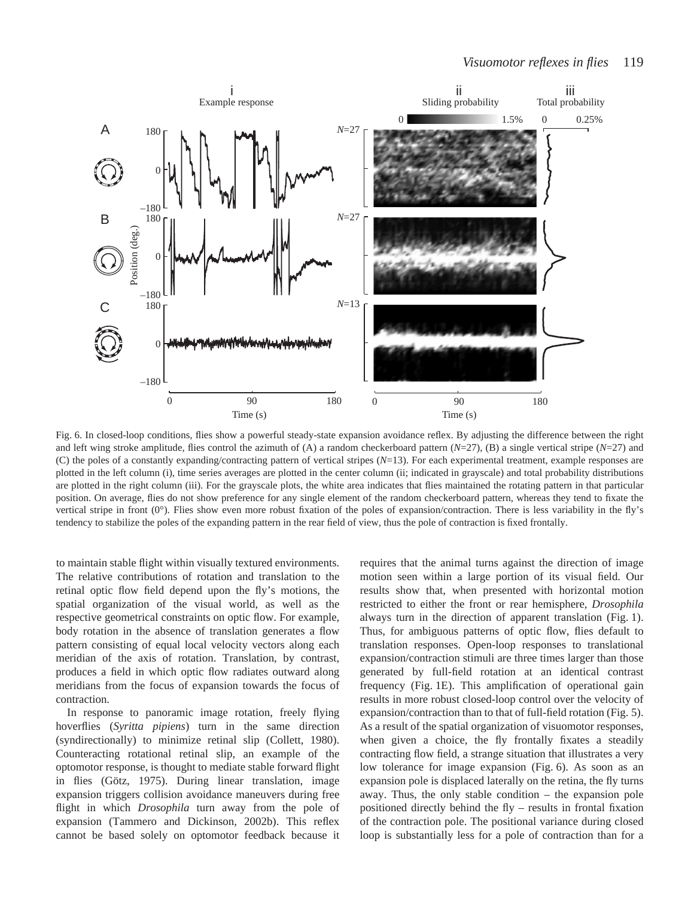

Fig. 6. In closed-loop conditions, flies show a powerful steady-state expansion avoidance reflex. By adjusting the difference between the right and left wing stroke amplitude, flies control the azimuth of (A) a random checkerboard pattern (*N*=27), (B) a single vertical stripe (*N*=27) and (C) the poles of a constantly expanding/contracting pattern of vertical stripes (*N*=13). For each experimental treatment, example responses are plotted in the left column (i), time series averages are plotted in the center column (ii; indicated in grayscale) and total probability distributions are plotted in the right column (iii). For the grayscale plots, the white area indicates that flies maintained the rotating pattern in that particular position. On average, flies do not show preference for any single element of the random checkerboard pattern, whereas they tend to fixate the vertical stripe in front (0°). Flies show even more robust fixation of the poles of expansion/contraction. There is less variability in the fly's tendency to stabilize the poles of the expanding pattern in the rear field of view, thus the pole of contraction is fixed frontally.

to maintain stable flight within visually textured environments. The relative contributions of rotation and translation to the retinal optic flow field depend upon the fly's motions, the spatial organization of the visual world, as well as the respective geometrical constraints on optic flow. For example, body rotation in the absence of translation generates a flow pattern consisting of equal local velocity vectors along each meridian of the axis of rotation. Translation, by contrast, produces a field in which optic flow radiates outward along meridians from the focus of expansion towards the focus of contraction.

In response to panoramic image rotation, freely flying hoverflies (*Syritta pipiens*) turn in the same direction (syndirectionally) to minimize retinal slip (Collett, 1980). Counteracting rotational retinal slip, an example of the optomotor response, is thought to mediate stable forward flight in flies (Götz, 1975). During linear translation, image expansion triggers collision avoidance maneuvers during free flight in which *Drosophila* turn away from the pole of expansion (Tammero and Dickinson, 2002b). This reflex cannot be based solely on optomotor feedback because it

requires that the animal turns against the direction of image motion seen within a large portion of its visual field. Our results show that, when presented with horizontal motion restricted to either the front or rear hemisphere, *Drosophila* always turn in the direction of apparent translation (Fig. 1). Thus, for ambiguous patterns of optic flow, flies default to translation responses. Open-loop responses to translational expansion/contraction stimuli are three times larger than those generated by full-field rotation at an identical contrast frequency (Fig. 1E). This amplification of operational gain results in more robust closed-loop control over the velocity of expansion/contraction than to that of full-field rotation (Fig. 5). As a result of the spatial organization of visuomotor responses, when given a choice, the fly frontally fixates a steadily contracting flow field, a strange situation that illustrates a very low tolerance for image expansion (Fig. 6). As soon as an expansion pole is displaced laterally on the retina, the fly turns away. Thus, the only stable condition – the expansion pole positioned directly behind the fly – results in frontal fixation of the contraction pole. The positional variance during closed loop is substantially less for a pole of contraction than for a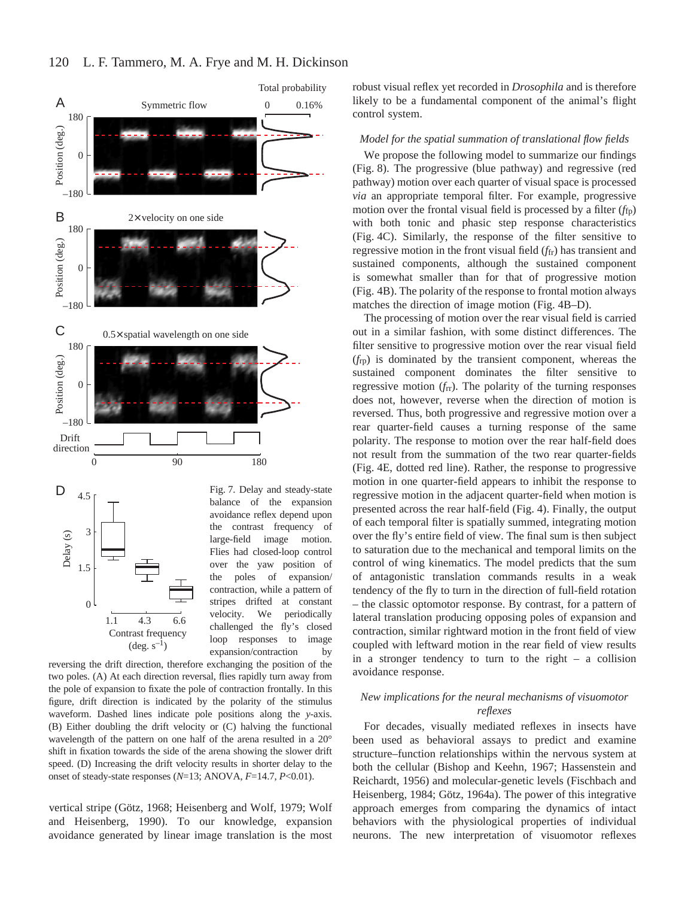



balance of the expansion avoidance reflex depend upon the contrast frequency of large-field image motion. Flies had closed-loop control over the yaw position of the poles of expansion/ contraction, while a pattern of stripes drifted at constant velocity. We periodically challenged the fly's closed loop responses to image expansion/contraction by

reversing the drift direction, therefore exchanging the position of the two poles. (A) At each direction reversal, flies rapidly turn away from the pole of expansion to fixate the pole of contraction frontally. In this figure, drift direction is indicated by the polarity of the stimulus waveform. Dashed lines indicate pole positions along the *y*-axis. (B) Either doubling the drift velocity or (C) halving the functional wavelength of the pattern on one half of the arena resulted in a 20° shift in fixation towards the side of the arena showing the slower drift speed. (D) Increasing the drift velocity results in shorter delay to the  $\begin{array}{c|c|c|c} \hline \mathcal{L} & & & \\ \hline \mathcal{L} & & & \\ \hline \mathcal{L} & & & \\ \hline \mathcal{L} & & & \\ \hline \end{array}$  Files had closed-loop correction. While a patter over the yaw position the poles of expansion the poles of expansion (deg. s<sup>-1</sup>) and the poles o

vertical stripe (Götz, 1968; Heisenberg and Wolf, 1979; Wolf and Heisenberg, 1990). To our knowledge, expansion avoidance generated by linear image translation is the most robust visual reflex yet recorded in *Drosophila* and is therefore likely to be a fundamental component of the animal's flight control system.

## *Model for the spatial summation of translational flow fields*

We propose the following model to summarize our findings (Fig. 8). The progressive (blue pathway) and regressive (red pathway) motion over each quarter of visual space is processed *via* an appropriate temporal filter. For example, progressive motion over the frontal visual field is processed by a filter  $(f_{\text{fp}})$ with both tonic and phasic step response characteristics (Fig. 4C). Similarly, the response of the filter sensitive to regressive motion in the front visual field (*f*fr) has transient and sustained components, although the sustained component is somewhat smaller than for that of progressive motion (Fig. 4B). The polarity of the response to frontal motion always matches the direction of image motion (Fig. 4B–D).

The processing of motion over the rear visual field is carried out in a similar fashion, with some distinct differences. The filter sensitive to progressive motion over the rear visual field (*f*rp) is dominated by the transient component, whereas the sustained component dominates the filter sensitive to regressive motion (*f*rr). The polarity of the turning responses does not, however, reverse when the direction of motion is reversed. Thus, both progressive and regressive motion over a rear quarter-field causes a turning response of the same polarity. The response to motion over the rear half-field does not result from the summation of the two rear quarter-fields (Fig. 4E, dotted red line). Rather, the response to progressive motion in one quarter-field appears to inhibit the response to regressive motion in the adjacent quarter-field when motion is presented across the rear half-field (Fig. 4). Finally, the output of each temporal filter is spatially summed, integrating motion over the fly's entire field of view. The final sum is then subject to saturation due to the mechanical and temporal limits on the control of wing kinematics. The model predicts that the sum of antagonistic translation commands results in a weak tendency of the fly to turn in the direction of full-field rotation – the classic optomotor response. By contrast, for a pattern of lateral translation producing opposing poles of expansion and contraction, similar rightward motion in the front field of view coupled with leftward motion in the rear field of view results in a stronger tendency to turn to the right  $-$  a collision avoidance response.

## *New implications for the neural mechanisms of visuomotor reflexes*

For decades, visually mediated reflexes in insects have been used as behavioral assays to predict and examine structure–function relationships within the nervous system at both the cellular (Bishop and Keehn, 1967; Hassenstein and Reichardt, 1956) and molecular-genetic levels (Fischbach and Heisenberg, 1984; Götz, 1964a). The power of this integrative approach emerges from comparing the dynamics of intact behaviors with the physiological properties of individual neurons. The new interpretation of visuomotor reflexes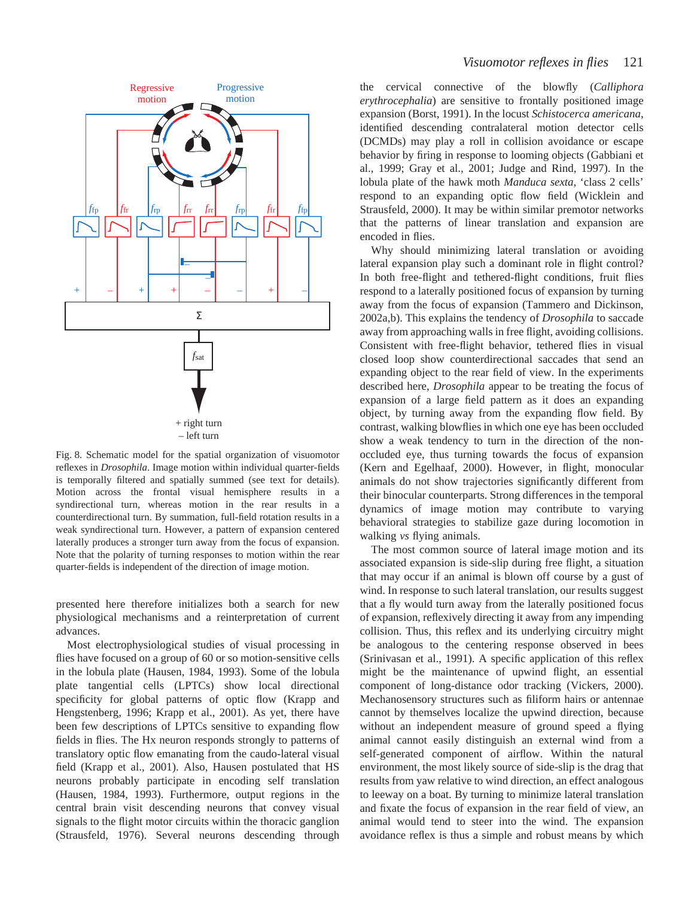

Fig. 8. Schematic model for the spatial organization of visuomotor reflexes in *Drosophila*. Image motion within individual quarter-fields is temporally filtered and spatially summed (see text for details). Motion across the frontal visual hemisphere results in a syndirectional turn, whereas motion in the rear results in a counterdirectional turn. By summation, full-field rotation results in a weak syndirectional turn. However, a pattern of expansion centered laterally produces a stronger turn away from the focus of expansion. Note that the polarity of turning responses to motion within the rear quarter-fields is independent of the direction of image motion.

presented here therefore initializes both a search for new physiological mechanisms and a reinterpretation of current advances.

Most electrophysiological studies of visual processing in flies have focused on a group of 60 or so motion-sensitive cells in the lobula plate (Hausen, 1984, 1993). Some of the lobula plate tangential cells (LPTCs) show local directional specificity for global patterns of optic flow (Krapp and Hengstenberg, 1996; Krapp et al., 2001). As yet, there have been few descriptions of LPTCs sensitive to expanding flow fields in flies. The Hx neuron responds strongly to patterns of translatory optic flow emanating from the caudo-lateral visual field (Krapp et al., 2001). Also, Hausen postulated that HS neurons probably participate in encoding self translation (Hausen, 1984, 1993). Furthermore, output regions in the central brain visit descending neurons that convey visual signals to the flight motor circuits within the thoracic ganglion (Strausfeld, 1976). Several neurons descending through

the cervical connective of the blowfly (*Calliphora erythrocephalia*) are sensitive to frontally positioned image expansion (Borst, 1991). In the locust *Schistocerca americana*, identified descending contralateral motion detector cells (DCMDs) may play a roll in collision avoidance or escape behavior by firing in response to looming objects (Gabbiani et al., 1999; Gray et al., 2001; Judge and Rind, 1997). In the lobula plate of the hawk moth *Manduca sexta*, 'class 2 cells' respond to an expanding optic flow field (Wicklein and Strausfeld, 2000). It may be within similar premotor networks that the patterns of linear translation and expansion are encoded in flies.

Why should minimizing lateral translation or avoiding lateral expansion play such a dominant role in flight control? In both free-flight and tethered-flight conditions, fruit flies respond to a laterally positioned focus of expansion by turning away from the focus of expansion (Tammero and Dickinson, 2002a,b). This explains the tendency of *Drosophila* to saccade away from approaching walls in free flight, avoiding collisions. Consistent with free-flight behavior, tethered flies in visual closed loop show counterdirectional saccades that send an expanding object to the rear field of view. In the experiments described here, *Drosophila* appear to be treating the focus of expansion of a large field pattern as it does an expanding object, by turning away from the expanding flow field. By contrast, walking blowflies in which one eye has been occluded show a weak tendency to turn in the direction of the nonoccluded eye, thus turning towards the focus of expansion (Kern and Egelhaaf, 2000). However, in flight, monocular animals do not show trajectories significantly different from their binocular counterparts. Strong differences in the temporal dynamics of image motion may contribute to varying behavioral strategies to stabilize gaze during locomotion in walking *vs* flying animals.

The most common source of lateral image motion and its associated expansion is side-slip during free flight, a situation that may occur if an animal is blown off course by a gust of wind. In response to such lateral translation, our results suggest that a fly would turn away from the laterally positioned focus of expansion, reflexively directing it away from any impending collision. Thus, this reflex and its underlying circuitry might be analogous to the centering response observed in bees (Srinivasan et al., 1991). A specific application of this reflex might be the maintenance of upwind flight, an essential component of long-distance odor tracking (Vickers, 2000). Mechanosensory structures such as filiform hairs or antennae cannot by themselves localize the upwind direction, because without an independent measure of ground speed a flying animal cannot easily distinguish an external wind from a self-generated component of airflow. Within the natural environment, the most likely source of side-slip is the drag that results from yaw relative to wind direction, an effect analogous to leeway on a boat. By turning to minimize lateral translation and fixate the focus of expansion in the rear field of view, an animal would tend to steer into the wind. The expansion avoidance reflex is thus a simple and robust means by which